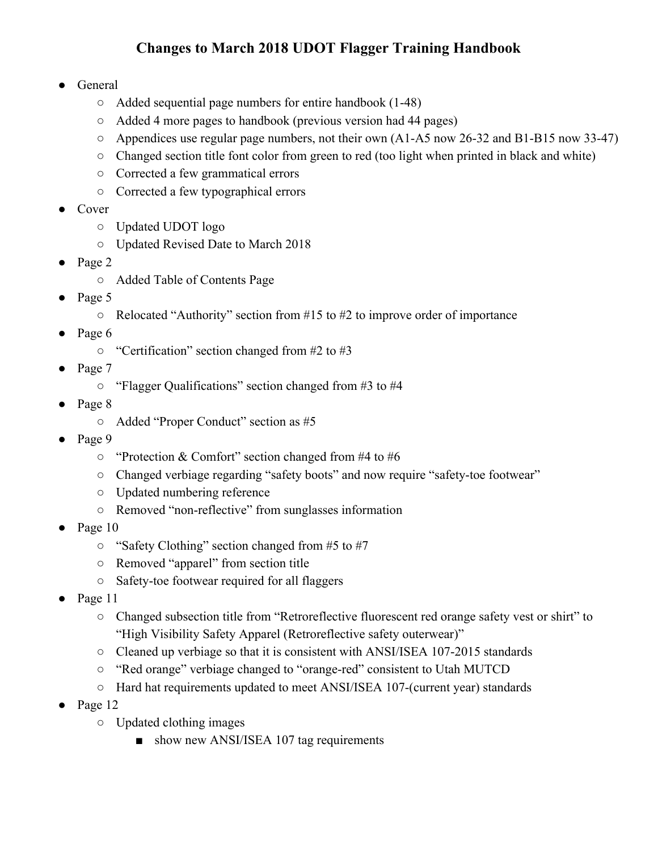## **Changes to March 2018 UDOT Flagger Training Handbook**

- **General** 
	- Added sequential page numbers for entire handbook (1-48)
	- Added 4 more pages to handbook (previous version had 44 pages)
	- $\circ$  Appendices use regular page numbers, not their own (A1-A5 now 26-32 and B1-B15 now 33-47)
	- Changed section title font color from green to red (too light when printed in black and white)
	- Corrected a few grammatical errors
	- Corrected a few typographical errors
- Cover
	- Updated UDOT logo
	- Updated Revised Date to March 2018
- Page 2
	- Added Table of Contents Page
- Page 5
	- $\circ$  Relocated "Authority" section from #15 to #2 to improve order of importance
- Page 6
	- $\circ$  "Certification" section changed from #2 to #3
- Page 7
	- "Flagger Qualifications" section changed from #3 to #4
- Page 8
	- Added "Proper Conduct" section as #5
- Page 9
	- $\circ$  "Protection & Comfort" section changed from #4 to #6
	- Changed verbiage regarding "safety boots" and now require "safety-toe footwear"
	- Updated numbering reference
	- Removed "non-reflective" from sunglasses information
- Page 10
	- $\circ$  "Safety Clothing" section changed from #5 to #7
	- Removed "apparel" from section title
	- Safety-toe footwear required for all flaggers
- Page 11
	- Changed subsection title from "Retroreflective fluorescent red orange safety vest or shirt" to "High Visibility Safety Apparel (Retroreflective safety outerwear)"
	- $\circ$  Cleaned up verbiage so that it is consistent with ANSI/ISEA 107-2015 standards
	- "Red orange" verbiage changed to "orange-red" consistent to Utah MUTCD
	- Hard hat requirements updated to meet ANSI/ISEA 107-(current year) standards
- Page 12
	- Updated clothing images
		- show new ANSI/ISEA 107 tag requirements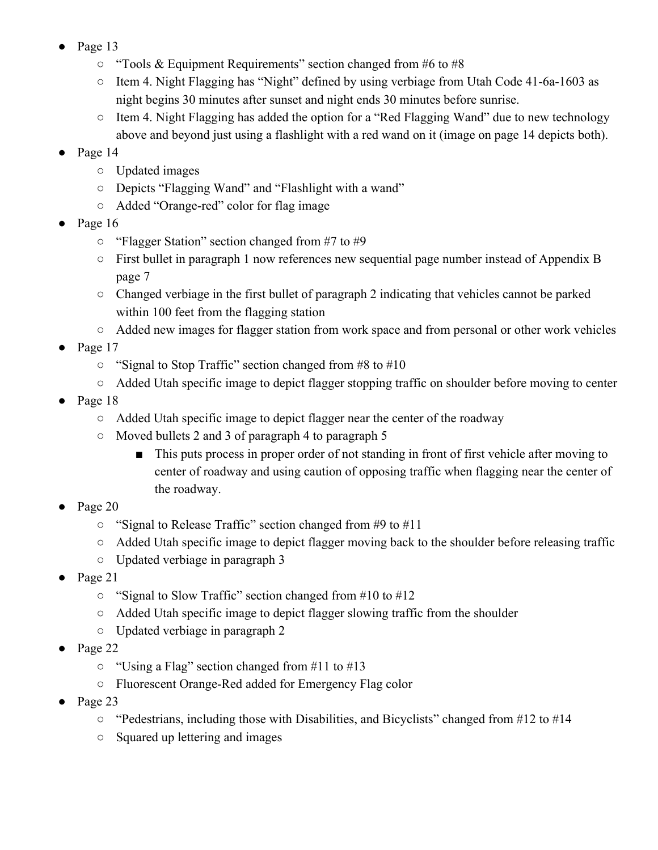- Page 13
	- "Tools & Equipment Requirements" section changed from #6 to #8
	- Item 4. Night Flagging has "Night" defined by using verbiage from Utah Code 41-6a-1603 as night begins 30 minutes after sunset and night ends 30 minutes before sunrise.
	- Item 4. Night Flagging has added the option for a "Red Flagging Wand" due to new technology above and beyond just using a flashlight with a red wand on it (image on page 14 depicts both).
- Page 14
	- Updated images
	- Depicts "Flagging Wand" and "Flashlight with a wand"
	- Added "Orange-red" color for flag image
- Page 16
	- "Flagger Station" section changed from #7 to #9
	- First bullet in paragraph 1 now references new sequential page number instead of Appendix B page 7
	- Changed verbiage in the first bullet of paragraph 2 indicating that vehicles cannot be parked within 100 feet from the flagging station
	- Added new images for flagger station from work space and from personal or other work vehicles
- Page 17
	- "Signal to Stop Traffic" section changed from #8 to #10
	- Added Utah specific image to depict flagger stopping traffic on shoulder before moving to center
- Page 18
	- Added Utah specific image to depict flagger near the center of the roadway
	- Moved bullets 2 and 3 of paragraph 4 to paragraph 5
		- This puts process in proper order of not standing in front of first vehicle after moving to center of roadway and using caution of opposing traffic when flagging near the center of the roadway.
- Page 20
	- "Signal to Release Traffic" section changed from #9 to #11
	- Added Utah specific image to depict flagger moving back to the shoulder before releasing traffic
	- Updated verbiage in paragraph 3
- Page 21
	- "Signal to Slow Traffic" section changed from #10 to #12
	- Added Utah specific image to depict flagger slowing traffic from the shoulder
	- Updated verbiage in paragraph 2
- Page 22
	- "Using a Flag" section changed from #11 to #13
	- Fluorescent Orange-Red added for Emergency Flag color
- Page 23
	- "Pedestrians, including those with Disabilities, and Bicyclists" changed from #12 to #14
	- Squared up lettering and images